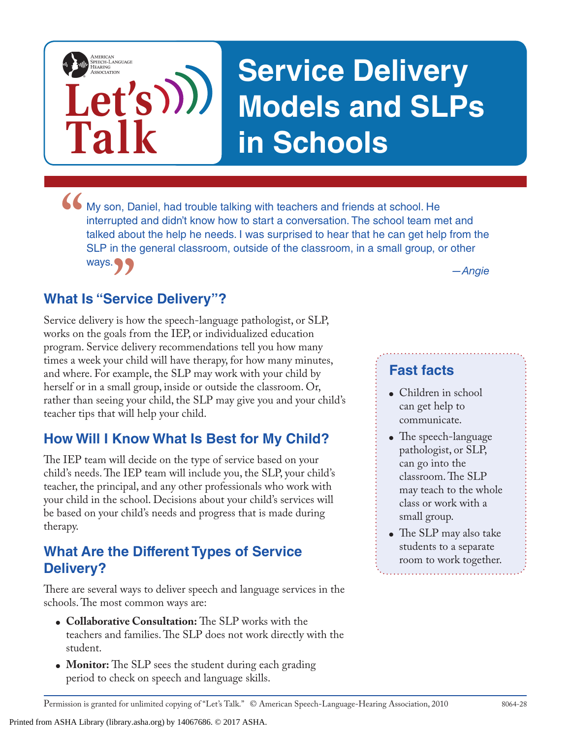# **Service Delivery Models and SLPs in Schools**

• My son, Daniel, had trouble talking with teachers and friends at school. He interrupted and didn't know how to start a conversation. The school team m talked about the help he needs. I was surprised to hear that he can g interrupted and didn't know how to start a conversation. The school team met and talked about the help he needs. I was surprised to hear that he can get help from the SLP in the general classroom, outside of the classroom, in a small group, or other ways.

## **What Is "Service Delivery"?**

**Let's**

**Talk**

AMERICAN<br>SPEECH-LANGUAGE-<br>HEARING<br>ASSOCIATION

*a —Angie*<br> **Ervice Delivery"?**<br> **Example 2018 12:45 is how the speech-language pathologist, or SLP,** Service delivery is how the speech-language pathologist, or SLP, works on the goals from the IEP, or individualized education program. Service delivery recommendations tell you how many times a week your child will have therapy, for how many minutes, and where. For example, the SLP may work with your child by herself or in a small group, inside or outside the classroom. Or, rather than seeing your child, the SLP may give you and your child's teacher tips that will help your child.

# **How Will I Know What Is Best for My Child?**

The IEP team will decide on the type of service based on your child's needs. The IEP team will include you, the SLP, your child's teacher, the principal, and any other professionals who work with your child in the school. Decisions about your child's services will be based on your child's needs and progress that is made during therapy.

### **What Are the Different Types of Service Delivery?**

There are several ways to deliver speech and language services in the schools. The most common ways are:

- **Collaborative Consultation:** The SLP works with the teachers and families. The SLP does not work directly with the student.
- **Monitor:** The SLP sees the student during each grading period to check on speech and language skills.

#### **Fast facts**

- Children in school can get help to communicate.
- The speech-language pathologist, or SLP, can go into the classroom. The SLP may teach to the whole class or work with a small group.
- The SLP may also take students to a separate room to work together.